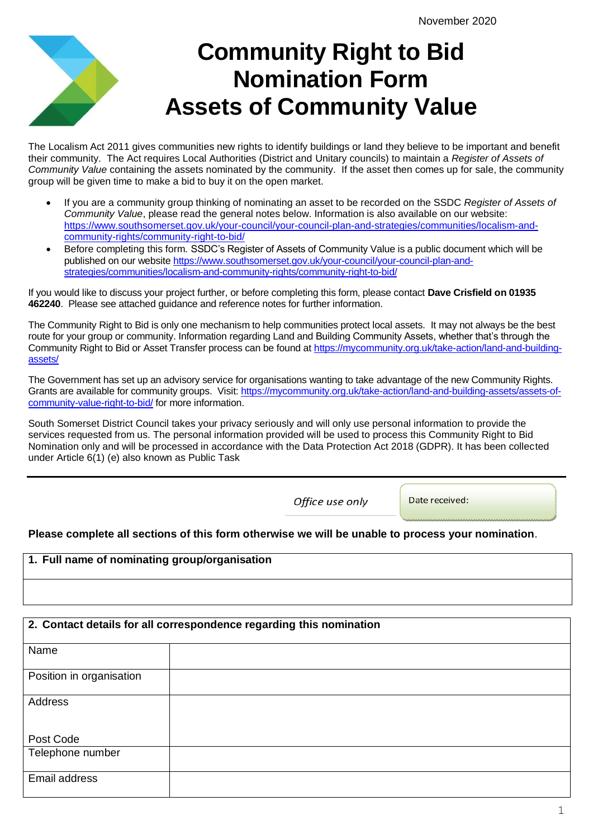# **Community Right to Bid Nomination Form Assets of Community Value**

The Localism Act 2011 gives communities new rights to identify buildings or land they believe to be important and benefit their community. The Act requires Local Authorities (District and Unitary councils) to maintain a *Register of Assets of Community Value* containing the assets nominated by the community. If the asset then comes up for sale, the community group will be given time to make a bid to buy it on the open market.

- If you are a community group thinking of nominating an asset to be recorded on the SSDC *Register of Assets of Community Value*, please read the general notes below. Information is also available on our website: [https://www.southsomerset.gov.uk/your-council/your-council-plan-and-strategies/communities/localism-and](https://www.southsomerset.gov.uk/your-council/your-council-plan-and-strategies/communities/localism-and-community-rights/community-right-to-bid/)[community-rights/community-right-to-bid/](https://www.southsomerset.gov.uk/your-council/your-council-plan-and-strategies/communities/localism-and-community-rights/community-right-to-bid/)
- Before completing this form. SSDC's Register of Assets of Community Value is a public document which will be published on our website [https://www.southsomerset.gov.uk/your-council/your-council-plan-and](https://www.southsomerset.gov.uk/your-council/your-council-plan-and-strategies/communities/localism-and-community-rights/community-right-to-bid/)[strategies/communities/localism-and-community-rights/community-right-to-bid/](https://www.southsomerset.gov.uk/your-council/your-council-plan-and-strategies/communities/localism-and-community-rights/community-right-to-bid/)

If you would like to discuss your project further, or before completing this form, please contact **Dave Crisfield on 01935 462240**. Please see attached guidance and reference notes for further information.

The Community Right to Bid is only one mechanism to help communities protect local assets. It may not always be the best route for your group or community. Information regarding Land and Building Community Assets, whether that's through the Community Right to Bid or Asset Transfer process can be found at [https://mycommunity.org.uk/take-action/land-and-building](https://mycommunity.org.uk/take-action/land-and-building-assets/)[assets/](https://mycommunity.org.uk/take-action/land-and-building-assets/)

The Government has set up an advisory service for organisations wanting to take advantage of the new Community Rights. Grants are available for community groups. Visit: [https://mycommunity.org.uk/take-action/land-and-building-assets/assets-of](https://mycommunity.org.uk/take-action/land-and-building-assets/assets-of-community-value-right-to-bid/)[community-value-right-to-bid/](https://mycommunity.org.uk/take-action/land-and-building-assets/assets-of-community-value-right-to-bid/) for more information.

South Somerset District Council takes your privacy seriously and will only use personal information to provide the services requested from us. The personal information provided will be used to process this Community Right to Bid Nomination only and will be processed in accordance with the Data Protection Act 2018 (GDPR). It has been collected under Article 6(1) (e) also known as Public Task

Office use only

Date received:

#### **Please complete all sections of this form otherwise we will be unable to process your nomination**.

#### **1. Full name of nominating group/organisation**

#### **2. Contact details for all correspondence regarding this nomination**

| Name                     |  |
|--------------------------|--|
| Position in organisation |  |
| Address                  |  |
| Post Code                |  |
| Telephone number         |  |
| Email address            |  |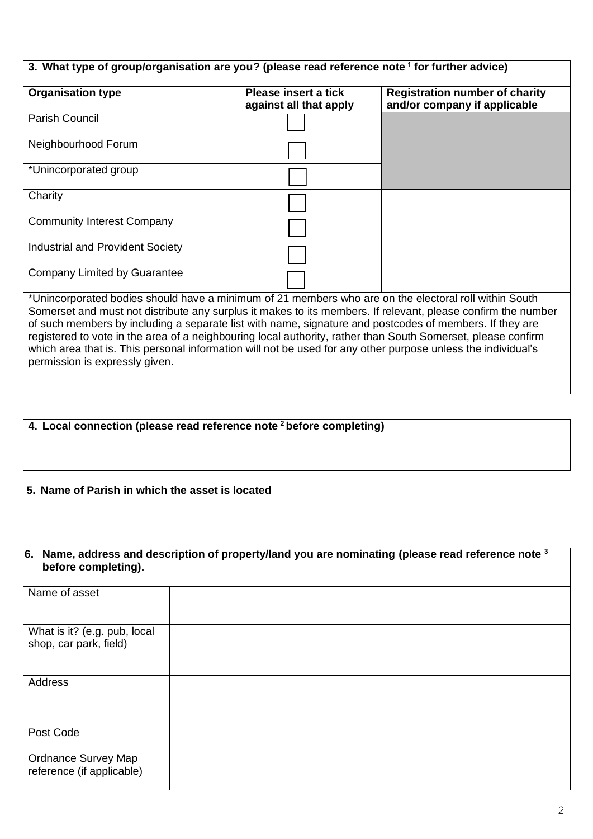| 3. What type of group/organisation are you? (please read reference note <sup>1</sup> for further advice)                                                                                                                                                                                                                                                                                                                                                                                                                                                                                           |                                                |                                                                       |  |  |
|----------------------------------------------------------------------------------------------------------------------------------------------------------------------------------------------------------------------------------------------------------------------------------------------------------------------------------------------------------------------------------------------------------------------------------------------------------------------------------------------------------------------------------------------------------------------------------------------------|------------------------------------------------|-----------------------------------------------------------------------|--|--|
| <b>Organisation type</b>                                                                                                                                                                                                                                                                                                                                                                                                                                                                                                                                                                           | Please insert a tick<br>against all that apply | <b>Registration number of charity</b><br>and/or company if applicable |  |  |
| <b>Parish Council</b>                                                                                                                                                                                                                                                                                                                                                                                                                                                                                                                                                                              |                                                |                                                                       |  |  |
| Neighbourhood Forum                                                                                                                                                                                                                                                                                                                                                                                                                                                                                                                                                                                |                                                |                                                                       |  |  |
| *Unincorporated group                                                                                                                                                                                                                                                                                                                                                                                                                                                                                                                                                                              |                                                |                                                                       |  |  |
| Charity                                                                                                                                                                                                                                                                                                                                                                                                                                                                                                                                                                                            |                                                |                                                                       |  |  |
| <b>Community Interest Company</b>                                                                                                                                                                                                                                                                                                                                                                                                                                                                                                                                                                  |                                                |                                                                       |  |  |
| <b>Industrial and Provident Society</b>                                                                                                                                                                                                                                                                                                                                                                                                                                                                                                                                                            |                                                |                                                                       |  |  |
| Company Limited by Guarantee                                                                                                                                                                                                                                                                                                                                                                                                                                                                                                                                                                       |                                                |                                                                       |  |  |
| *Unincorporated bodies should have a minimum of 21 members who are on the electoral roll within South<br>Somerset and must not distribute any surplus it makes to its members. If relevant, please confirm the number<br>of such members by including a separate list with name, signature and postcodes of members. If they are<br>registered to vote in the area of a neighbouring local authority, rather than South Somerset, please confirm<br>which area that is. This personal information will not be used for any other purpose unless the individual's<br>permission is expressly given. |                                                |                                                                       |  |  |

### **4. Local connection (please read reference note <sup>2</sup>before completing)**

#### **5. Name of Parish in which the asset is located**

#### **6. Name, address and description of property/land you are nominating (please read reference note <sup>3</sup> before completing).**

| Name of asset                                           |  |
|---------------------------------------------------------|--|
| What is it? (e.g. pub, local<br>shop, car park, field)  |  |
| Address                                                 |  |
| Post Code                                               |  |
| <b>Ordnance Survey Map</b><br>reference (if applicable) |  |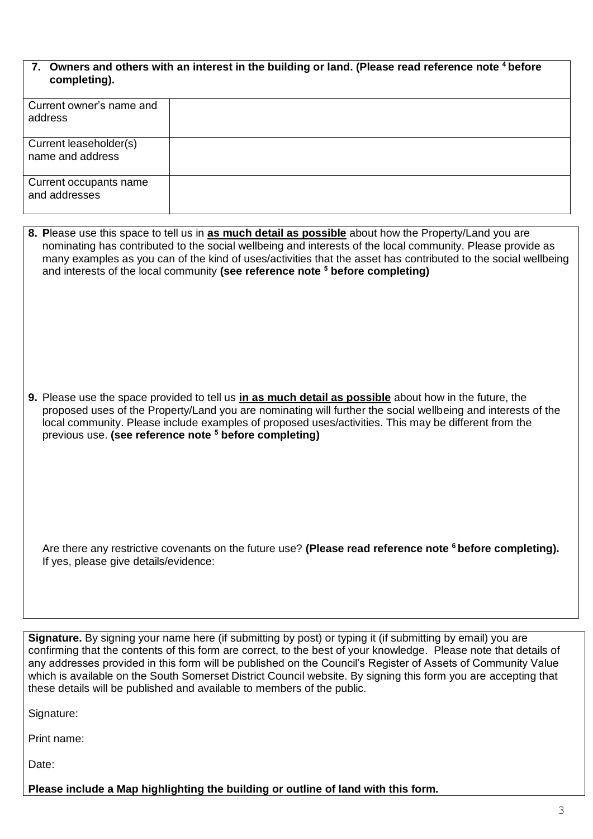| 7. Owners and others with an interest in the building or land. (Please read reference note <sup>4</sup> before |
|----------------------------------------------------------------------------------------------------------------|
| completing).                                                                                                   |

| Current owner's name and<br>address        |  |
|--------------------------------------------|--|
| Current leaseholder(s)<br>name and address |  |
| Current occupants name<br>and addresses    |  |

| 8. Please use this space to tell us in as much detail as possible about how the Property/Land you are<br>nominating has contributed to the social wellbeing and interests of the local community. Please provide as<br>many examples as you can of the kind of uses/activities that the asset has contributed to the social wellbeing<br>and interests of the local community (see reference note <sup>5</sup> before completing) |
|-----------------------------------------------------------------------------------------------------------------------------------------------------------------------------------------------------------------------------------------------------------------------------------------------------------------------------------------------------------------------------------------------------------------------------------|
| 9. Please use the space provided to tell us in as much detail as possible about how in the future, the<br>proposed uses of the Property/Land you are nominating will further the social wellbeing and interests of the<br>local community. Please include examples of proposed uses/activities. This may be different from the<br>previous use. (see reference note <sup>5</sup> before completing)                               |
| Are there any restrictive covenants on the future use? (Please read reference note <sup>6</sup> before completing).<br>If yes, please give details/evidence:                                                                                                                                                                                                                                                                      |

**Signature.** By signing your name here (if submitting by post) or typing it (if submitting by email) you are confirming that the contents of this form are correct, to the best of your knowledge. Please note that details of any addresses provided in this form will be published on the Council's Register of Assets of Community Value which is available on the South Somerset District Council website. By signing this form you are accepting that these details will be published and available to members of the public.

Signature:

Print name:

Date:

**Please include a Map highlighting the building or outline of land with this form.**